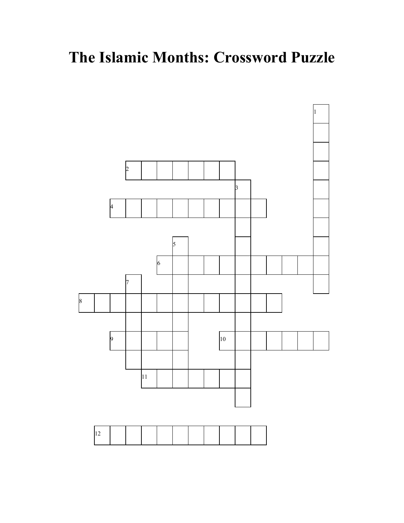## **The Islamic Months: Crossword Puzzle**